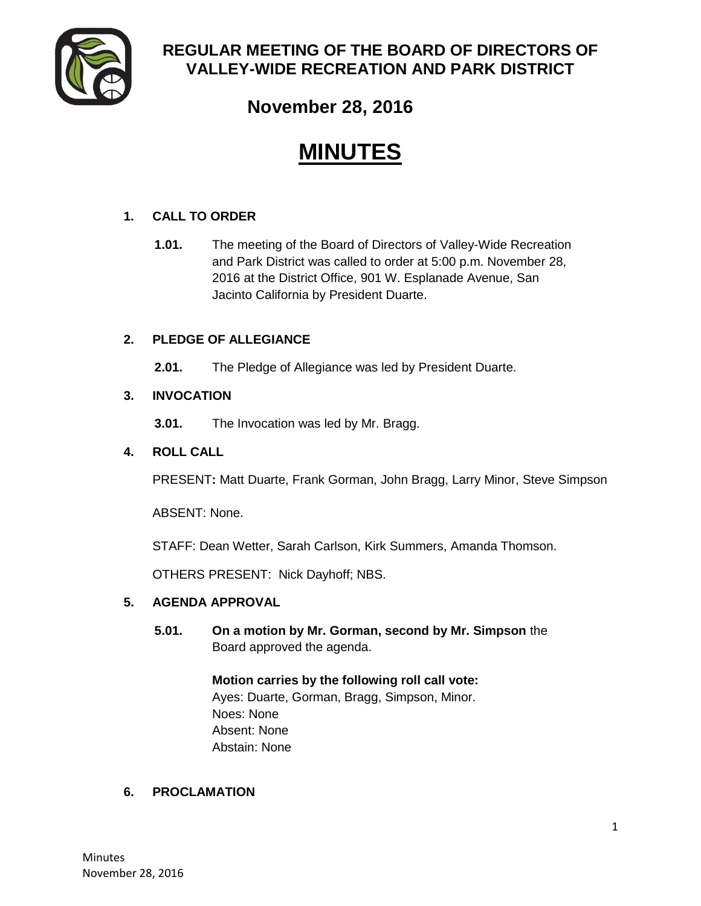

# **REGULAR MEETING OF THE BOARD OF DIRECTORS OF VALLEY-WIDE RECREATION AND PARK DISTRICT**

**November 28, 2016**

# **MINUTES**

# **1. CALL TO ORDER**

**1.01.** The meeting of the Board of Directors of Valley-Wide Recreation and Park District was called to order at 5:00 p.m. November 28, 2016 at the District Office, 901 W. Esplanade Avenue, San Jacinto California by President Duarte.

# **2. PLEDGE OF ALLEGIANCE**

**2.01.** The Pledge of Allegiance was led by President Duarte.

# **3. INVOCATION**

**3.01.** The Invocation was led by Mr. Bragg.

# **4. ROLL CALL**

PRESENT**:** Matt Duarte, Frank Gorman, John Bragg, Larry Minor, Steve Simpson

ABSENT: None.

STAFF: Dean Wetter, Sarah Carlson, Kirk Summers, Amanda Thomson.

OTHERS PRESENT: Nick Dayhoff; NBS.

#### **5. AGENDA APPROVAL**

**5.01. On a motion by Mr. Gorman, second by Mr. Simpson** the Board approved the agenda.

> **Motion carries by the following roll call vote:**  Ayes: Duarte, Gorman, Bragg, Simpson, Minor. Noes: None Absent: None Abstain: None

#### **6. PROCLAMATION**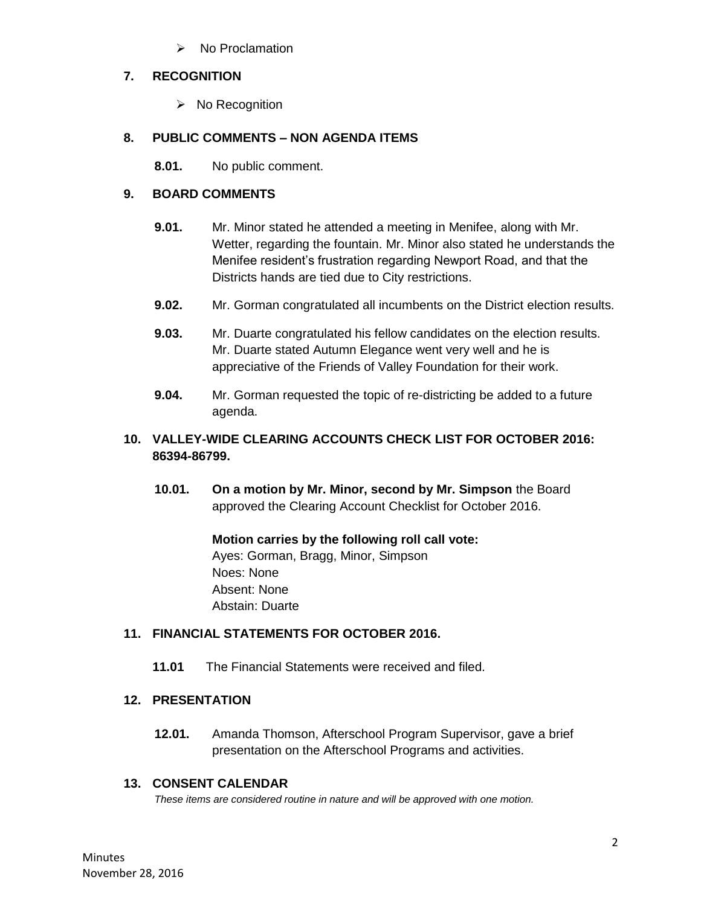$\triangleright$  No Proclamation

#### **7. RECOGNITION**

 $\triangleright$  No Recognition

# **8. PUBLIC COMMENTS – NON AGENDA ITEMS**

**8.01.** No public comment.

# **9. BOARD COMMENTS**

- **9.01.** Mr. Minor stated he attended a meeting in Menifee, along with Mr. Wetter, regarding the fountain. Mr. Minor also stated he understands the Menifee resident's frustration regarding Newport Road, and that the Districts hands are tied due to City restrictions.
- **9.02.** Mr. Gorman congratulated all incumbents on the District election results.
- **9.03.** Mr. Duarte congratulated his fellow candidates on the election results. Mr. Duarte stated Autumn Elegance went very well and he is appreciative of the Friends of Valley Foundation for their work.
- **9.04.** Mr. Gorman requested the topic of re-districting be added to a future agenda.

# **10. VALLEY-WIDE CLEARING ACCOUNTS CHECK LIST FOR OCTOBER 2016: 86394-86799.**

**10.01. On a motion by Mr. Minor, second by Mr. Simpson** the Board approved the Clearing Account Checklist for October 2016.

> **Motion carries by the following roll call vote:**  Ayes: Gorman, Bragg, Minor, Simpson Noes: None Absent: None Abstain: Duarte

#### **11. FINANCIAL STATEMENTS FOR OCTOBER 2016.**

**11.01** The Financial Statements were received and filed.

#### **12. PRESENTATION**

**12.01.** Amanda Thomson, Afterschool Program Supervisor, gave a brief presentation on the Afterschool Programs and activities.

#### **13. CONSENT CALENDAR**

*These items are considered routine in nature and will be approved with one motion.*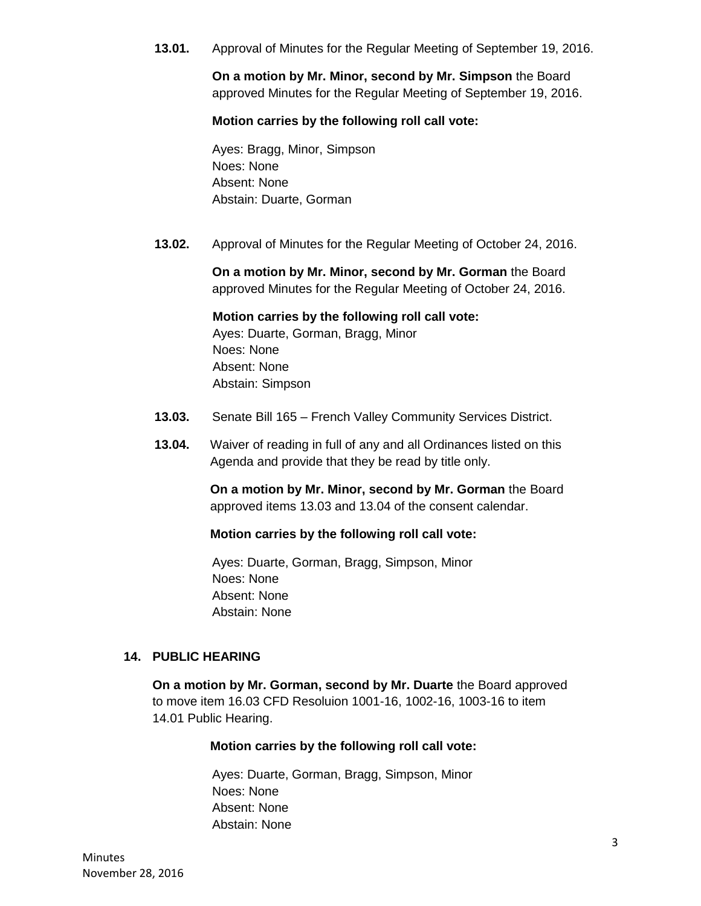**13.01.** Approval of Minutes for the Regular Meeting of September 19, 2016.

**On a motion by Mr. Minor, second by Mr. Simpson** the Board approved Minutes for the Regular Meeting of September 19, 2016.

#### **Motion carries by the following roll call vote:**

Ayes: Bragg, Minor, Simpson Noes: None Absent: None Abstain: Duarte, Gorman

**13.02.** Approval of Minutes for the Regular Meeting of October 24, 2016.

**On a motion by Mr. Minor, second by Mr. Gorman** the Board approved Minutes for the Regular Meeting of October 24, 2016.

**Motion carries by the following roll call vote:** 

Ayes: Duarte, Gorman, Bragg, Minor Noes: None Absent: None Abstain: Simpson

- **13.03.** Senate Bill 165 French Valley Community Services District.
- **13.04.** Waiver of reading in full of any and all Ordinances listed on this Agenda and provide that they be read by title only.

**On a motion by Mr. Minor, second by Mr. Gorman** the Board approved items 13.03 and 13.04 of the consent calendar.

#### **Motion carries by the following roll call vote:**

Ayes: Duarte, Gorman, Bragg, Simpson, Minor Noes: None Absent: None Abstain: None

#### **14. PUBLIC HEARING**

**On a motion by Mr. Gorman, second by Mr. Duarte** the Board approved to move item 16.03 CFD Resoluion 1001-16, 1002-16, 1003-16 to item 14.01 Public Hearing.

#### **Motion carries by the following roll call vote:**

Ayes: Duarte, Gorman, Bragg, Simpson, Minor Noes: None Absent: None Abstain: None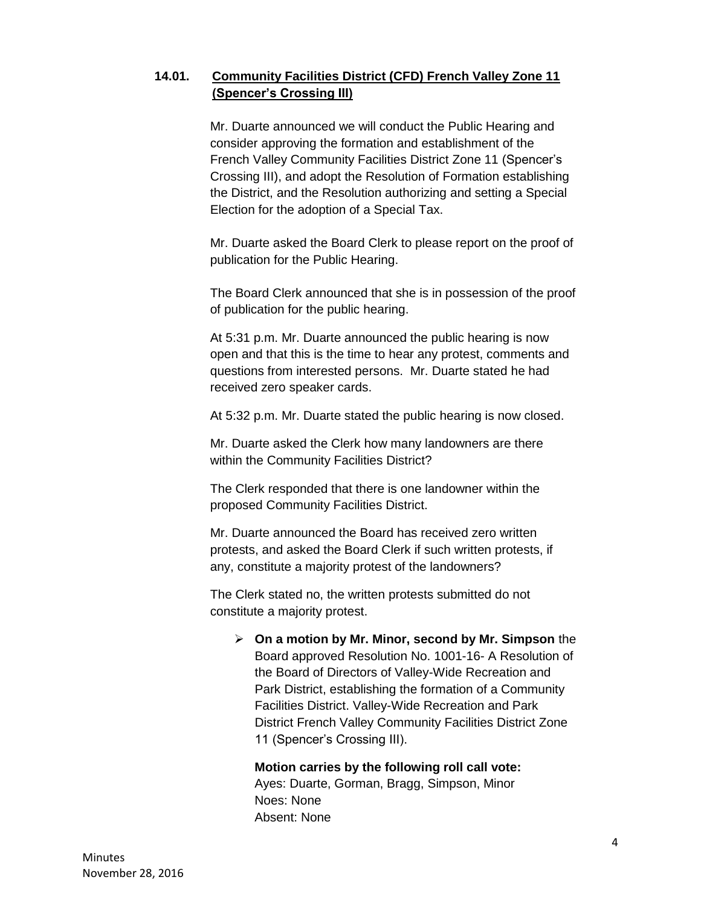# **14.01. Community Facilities District (CFD) French Valley Zone 11 (Spencer's Crossing III)**

Mr. Duarte announced we will conduct the Public Hearing and consider approving the formation and establishment of the French Valley Community Facilities District Zone 11 (Spencer's Crossing III), and adopt the Resolution of Formation establishing the District, and the Resolution authorizing and setting a Special Election for the adoption of a Special Tax.

Mr. Duarte asked the Board Clerk to please report on the proof of publication for the Public Hearing.

The Board Clerk announced that she is in possession of the proof of publication for the public hearing.

At 5:31 p.m. Mr. Duarte announced the public hearing is now open and that this is the time to hear any protest, comments and questions from interested persons. Mr. Duarte stated he had received zero speaker cards.

At 5:32 p.m. Mr. Duarte stated the public hearing is now closed.

Mr. Duarte asked the Clerk how many landowners are there within the Community Facilities District?

The Clerk responded that there is one landowner within the proposed Community Facilities District.

Mr. Duarte announced the Board has received zero written protests, and asked the Board Clerk if such written protests, if any, constitute a majority protest of the landowners?

The Clerk stated no, the written protests submitted do not constitute a majority protest.

 **On a motion by Mr. Minor, second by Mr. Simpson** the Board approved Resolution No. 1001-16- A Resolution of the Board of Directors of Valley-Wide Recreation and Park District, establishing the formation of a Community Facilities District. Valley-Wide Recreation and Park District French Valley Community Facilities District Zone 11 (Spencer's Crossing III).

# **Motion carries by the following roll call vote:**

Ayes: Duarte, Gorman, Bragg, Simpson, Minor Noes: None Absent: None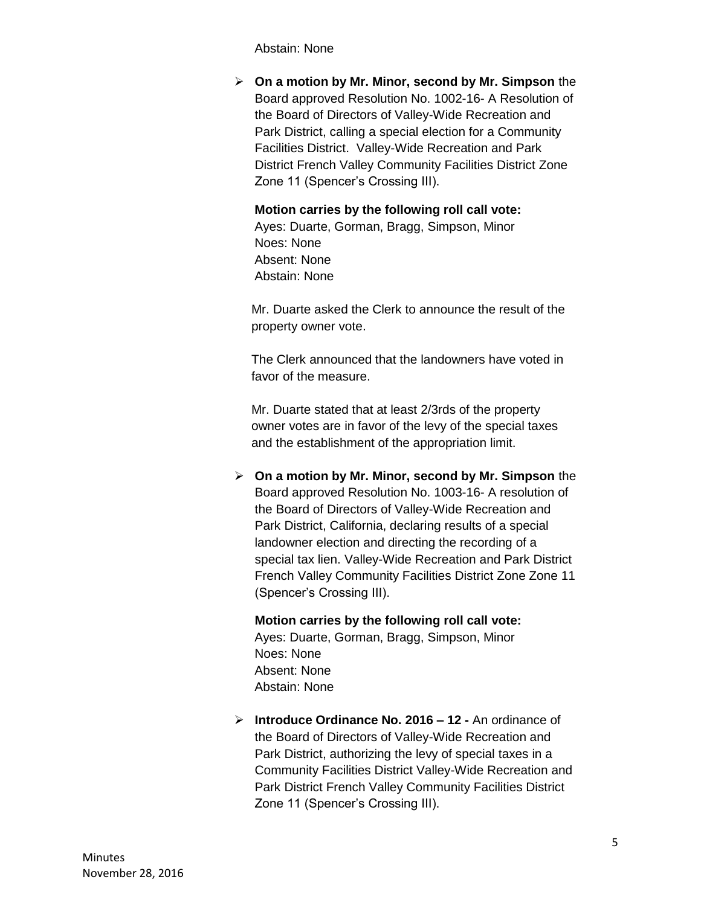Abstain: None

 **On a motion by Mr. Minor, second by Mr. Simpson** the Board approved Resolution No. 1002-16- A Resolution of the Board of Directors of Valley-Wide Recreation and Park District, calling a special election for a Community Facilities District. Valley-Wide Recreation and Park District French Valley Community Facilities District Zone Zone 11 (Spencer's Crossing III).

**Motion carries by the following roll call vote:**  Ayes: Duarte, Gorman, Bragg, Simpson, Minor Noes: None Absent: None Abstain: None

Mr. Duarte asked the Clerk to announce the result of the property owner vote.

The Clerk announced that the landowners have voted in favor of the measure.

Mr. Duarte stated that at least 2/3rds of the property owner votes are in favor of the levy of the special taxes and the establishment of the appropriation limit.

 **On a motion by Mr. Minor, second by Mr. Simpson** the Board approved Resolution No. 1003-16- A resolution of the Board of Directors of Valley-Wide Recreation and Park District, California, declaring results of a special landowner election and directing the recording of a special tax lien. Valley-Wide Recreation and Park District French Valley Community Facilities District Zone Zone 11 (Spencer's Crossing III).

**Motion carries by the following roll call vote:**  Ayes: Duarte, Gorman, Bragg, Simpson, Minor Noes: None Absent: None Abstain: None

 **Introduce Ordinance No. 2016 – 12 -** An ordinance of the Board of Directors of Valley-Wide Recreation and Park District, authorizing the levy of special taxes in a Community Facilities District Valley-Wide Recreation and Park District French Valley Community Facilities District Zone 11 (Spencer's Crossing III).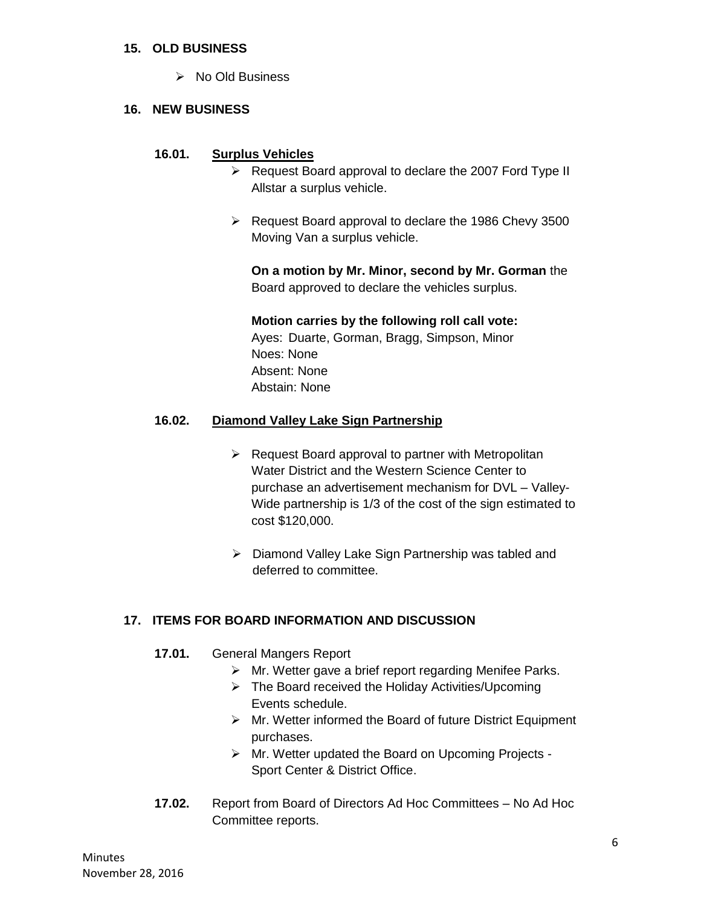#### **15. OLD BUSINESS**

 $\triangleright$  No Old Business

#### **16. NEW BUSINESS**

#### **16.01. Surplus Vehicles**

- $\triangleright$  Request Board approval to declare the 2007 Ford Type II Allstar a surplus vehicle.
- $\triangleright$  Request Board approval to declare the 1986 Chevy 3500 Moving Van a surplus vehicle.

**On a motion by Mr. Minor, second by Mr. Gorman** the Board approved to declare the vehicles surplus.

**Motion carries by the following roll call vote:**  Ayes: Duarte, Gorman, Bragg, Simpson, Minor Noes: None

Absent: None Abstain: None

#### **16.02. Diamond Valley Lake Sign Partnership**

- $\triangleright$  Request Board approval to partner with Metropolitan Water District and the Western Science Center to purchase an advertisement mechanism for DVL – Valley-Wide partnership is 1/3 of the cost of the sign estimated to cost \$120,000.
- Diamond Valley Lake Sign Partnership was tabled and deferred to committee.

#### **17. ITEMS FOR BOARD INFORMATION AND DISCUSSION**

- **17.01.** General Mangers Report
	- $\triangleright$  Mr. Wetter gave a brief report regarding Menifee Parks.
	- $\triangleright$  The Board received the Holiday Activities/Upcoming Events schedule.
	- $\triangleright$  Mr. Wetter informed the Board of future District Equipment purchases.
	- Mr. Wetter updated the Board on Upcoming Projects Sport Center & District Office.
- **17.02.** Report from Board of Directors Ad Hoc Committees No Ad Hoc Committee reports.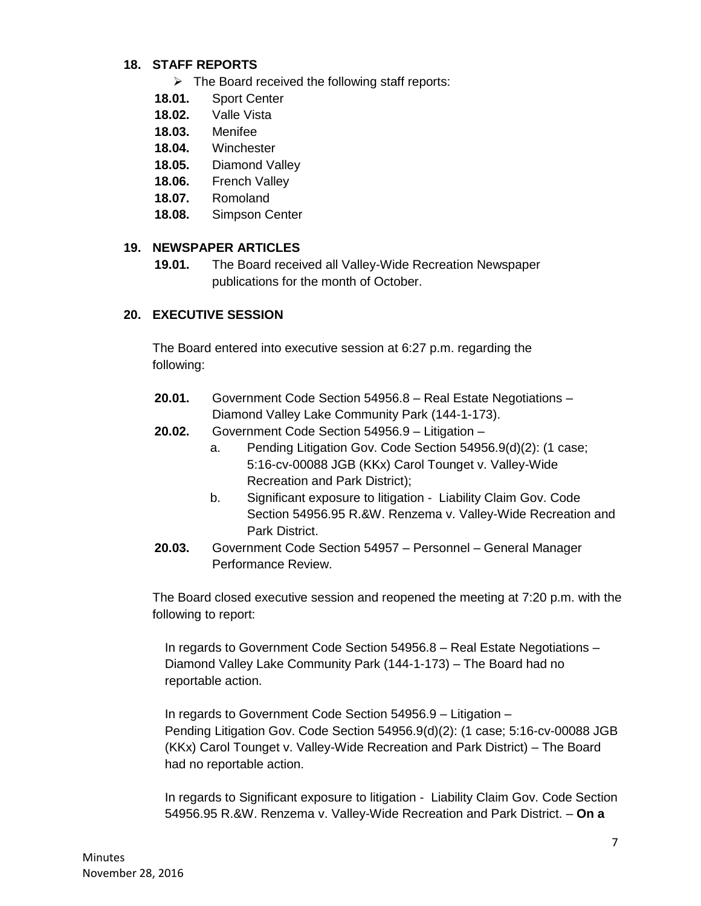#### **18. STAFF REPORTS**

- $\triangleright$  The Board received the following staff reports:
- **18.01.** Sport Center
- **18.02.** Valle Vista
- **18.03.** Menifee
- **18.04.** Winchester
- **18.05.** Diamond Valley
- **18.06.** French Valley
- **18.07.** Romoland
- **18.08.** Simpson Center

#### **19. NEWSPAPER ARTICLES**

**19.01.** The Board received all Valley-Wide Recreation Newspaper publications for the month of October.

#### **20. EXECUTIVE SESSION**

The Board entered into executive session at 6:27 p.m. regarding the following:

- **20.01.** Government Code Section 54956.8 Real Estate Negotiations Diamond Valley Lake Community Park (144-1-173).
- **20.02.** Government Code Section 54956.9 Litigation
	- a. Pending Litigation Gov. Code Section 54956.9(d)(2): (1 case; 5:16-cv-00088 JGB (KKx) Carol Tounget v. Valley-Wide Recreation and Park District);
		- b. Significant exposure to litigation Liability Claim Gov. Code Section 54956.95 R.&W. Renzema v. Valley-Wide Recreation and Park District.
- **20.03.** Government Code Section 54957 Personnel General Manager Performance Review.

The Board closed executive session and reopened the meeting at 7:20 p.m. with the following to report:

In regards to Government Code Section 54956.8 – Real Estate Negotiations – Diamond Valley Lake Community Park (144-1-173) – The Board had no reportable action.

In regards to Government Code Section 54956.9 – Litigation – Pending Litigation Gov. Code Section 54956.9(d)(2): (1 case; 5:16-cv-00088 JGB (KKx) Carol Tounget v. Valley-Wide Recreation and Park District) – The Board had no reportable action.

In regards to Significant exposure to litigation - Liability Claim Gov. Code Section 54956.95 R.&W. Renzema v. Valley-Wide Recreation and Park District. – **On a**